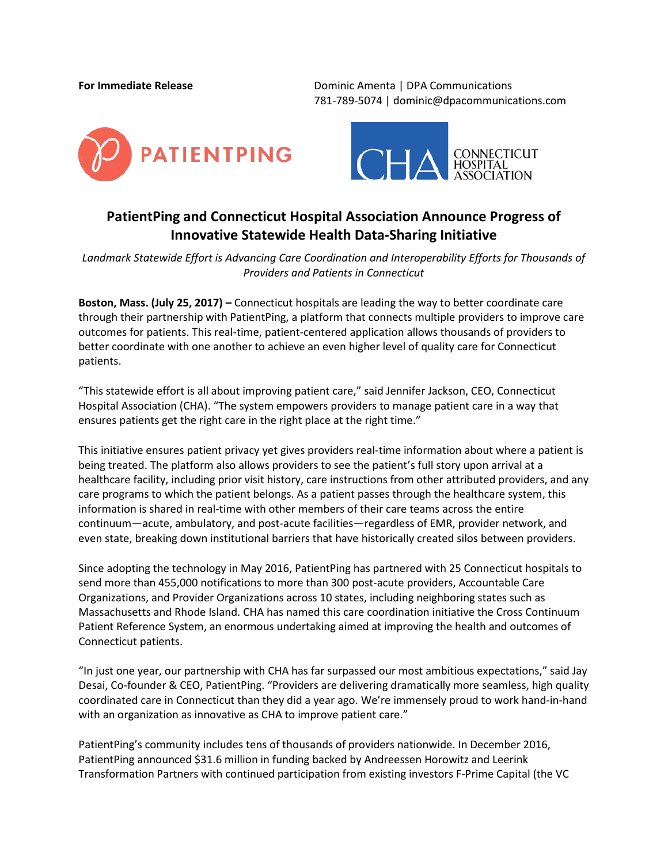**For Immediate Release** Dominic Amenta | DPA Communications 781-789-5074 | dominic@dpacommunications.com





## **PatientPing and Connecticut Hospital Association Announce Progress of Innovative Statewide Health Data-Sharing Initiative**

*Landmark Statewide Effort is Advancing Care Coordination and Interoperability Efforts for Thousands of Providers and Patients in Connecticut*

**Boston, Mass. (July 25, 2017) –** Connecticut hospitals are leading the way to better coordinate care through their partnership with PatientPing, a platform that connects multiple providers to improve care outcomes for patients. This real-time, patient-centered application allows thousands of providers to better coordinate with one another to achieve an even higher level of quality care for Connecticut patients.

"This statewide effort is all about improving patient care," said Jennifer Jackson, CEO, Connecticut Hospital Association (CHA). "The system empowers providers to manage patient care in a way that ensures patients get the right care in the right place at the right time."

This initiative ensures patient privacy yet gives providers real-time information about where a patient is being treated. The platform also allows providers to see the patient's full story upon arrival at a healthcare facility, including prior visit history, care instructions from other attributed providers, and any care programs to which the patient belongs. As a patient passes through the healthcare system, this information is shared in real-time with other members of their care teams across the entire continuum—acute, ambulatory, and post-acute facilities—regardless of EMR, provider network, and even state, breaking down institutional barriers that have historically created silos between providers.

Since adopting the technology in May 2016, PatientPing has partnered with 25 Connecticut hospitals to send more than 455,000 notifications to more than 300 post-acute providers, Accountable Care Organizations, and Provider Organizations across 10 states, including neighboring states such as Massachusetts and Rhode Island. CHA has named this care coordination initiative the Cross Continuum Patient Reference System, an enormous undertaking aimed at improving the health and outcomes of Connecticut patients.

"In just one year, our partnership with CHA has far surpassed our most ambitious expectations," said Jay Desai, Co-founder & CEO, PatientPing. "Providers are delivering dramatically more seamless, high quality coordinated care in Connecticut than they did a year ago. We're immensely proud to work hand-in-hand with an organization as innovative as CHA to improve patient care."

PatientPing's community includes tens of thousands of providers nationwide. In December 2016, PatientPing announced \$31.6 million in funding backed by Andreessen Horowitz and Leerink Transformation Partners with continued participation from existing investors F-Prime Capital (the VC